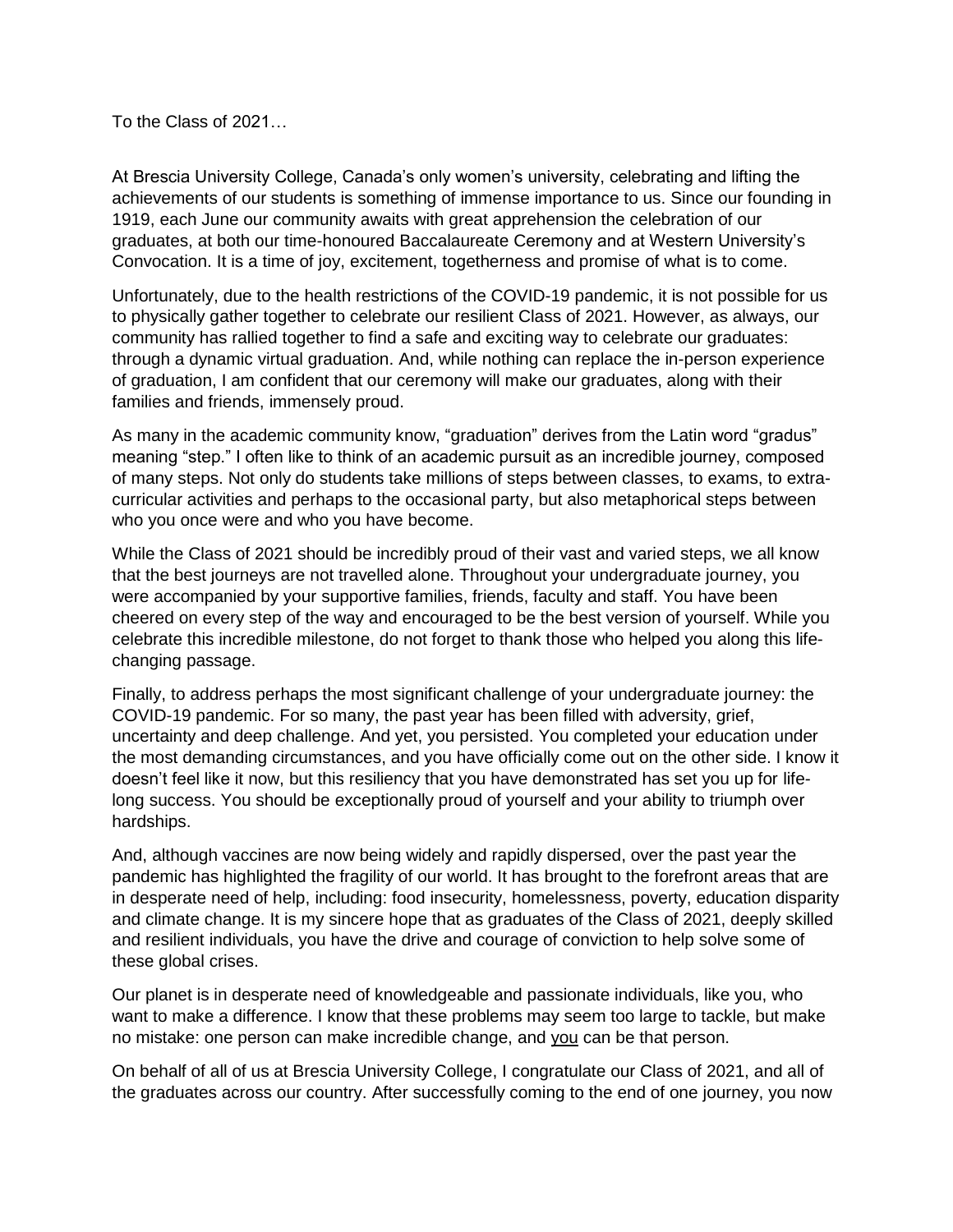To the Class of 2021…

At Brescia University College, Canada's only women's university, celebrating and lifting the achievements of our students is something of immense importance to us. Since our founding in 1919, each June our community awaits with great apprehension the celebration of our graduates, at both our time-honoured Baccalaureate Ceremony and at Western University's Convocation. It is a time of joy, excitement, togetherness and promise of what is to come.

Unfortunately, due to the health restrictions of the COVID-19 pandemic, it is not possible for us to physically gather together to celebrate our resilient Class of 2021. However, as always, our community has rallied together to find a safe and exciting way to celebrate our graduates: through a dynamic virtual graduation. And, while nothing can replace the in-person experience of graduation, I am confident that our ceremony will make our graduates, along with their families and friends, immensely proud.

As many in the academic community know, "graduation" derives from the Latin word "gradus" meaning "step." I often like to think of an academic pursuit as an incredible journey, composed of many steps. Not only do students take millions of steps between classes, to exams, to extracurricular activities and perhaps to the occasional party, but also metaphorical steps between who you once were and who you have become.

While the Class of 2021 should be incredibly proud of their vast and varied steps, we all know that the best journeys are not travelled alone. Throughout your undergraduate journey, you were accompanied by your supportive families, friends, faculty and staff. You have been cheered on every step of the way and encouraged to be the best version of yourself. While you celebrate this incredible milestone, do not forget to thank those who helped you along this lifechanging passage.

Finally, to address perhaps the most significant challenge of your undergraduate journey: the COVID-19 pandemic. For so many, the past year has been filled with adversity, grief, uncertainty and deep challenge. And yet, you persisted. You completed your education under the most demanding circumstances, and you have officially come out on the other side. I know it doesn't feel like it now, but this resiliency that you have demonstrated has set you up for lifelong success. You should be exceptionally proud of yourself and your ability to triumph over hardships.

And, although vaccines are now being widely and rapidly dispersed, over the past year the pandemic has highlighted the fragility of our world. It has brought to the forefront areas that are in desperate need of help, including: food insecurity, homelessness, poverty, education disparity and climate change. It is my sincere hope that as graduates of the Class of 2021, deeply skilled and resilient individuals, you have the drive and courage of conviction to help solve some of these global crises.

Our planet is in desperate need of knowledgeable and passionate individuals, like you, who want to make a difference. I know that these problems may seem too large to tackle, but make no mistake: one person can make incredible change, and you can be that person.

On behalf of all of us at Brescia University College, I congratulate our Class of 2021, and all of the graduates across our country. After successfully coming to the end of one journey, you now